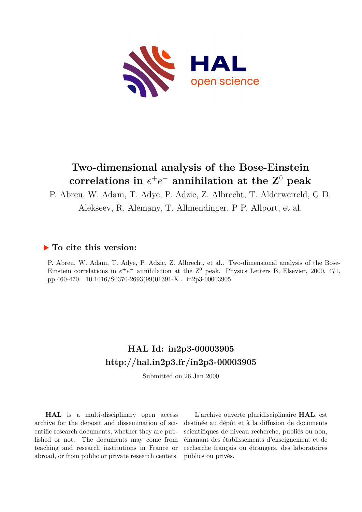

# **Two-dimensional analysis of the Bose-Einstein**  $\boldsymbol{\epsilon}$  correlations in  $e^+e^-$  annihilation at the  $\mathbf{Z}^0$  peak

P. Abreu, W. Adam, T. Adye, P. Adzic, Z. Albrecht, T. Alderweireld, G D.

Alekseev, R. Alemany, T. Allmendinger, P P. Allport, et al.

## **To cite this version:**

P. Abreu, W. Adam, T. Adye, P. Adzic, Z. Albrecht, et al.. Two-dimensional analysis of the Bose-Einstein correlations in  $e^+e^-$  annihilation at the  $\mathbb{Z}^0$  peak. Physics Letters B, Elsevier, 2000, 471, pp.460-470. 10.1016/S0370-2693(99)01391-X. in2p3-00003905

# **HAL Id: in2p3-00003905 <http://hal.in2p3.fr/in2p3-00003905>**

Submitted on 26 Jan 2000

**HAL** is a multi-disciplinary open access archive for the deposit and dissemination of scientific research documents, whether they are published or not. The documents may come from teaching and research institutions in France or abroad, or from public or private research centers.

L'archive ouverte pluridisciplinaire **HAL**, est destinée au dépôt et à la diffusion de documents scientifiques de niveau recherche, publiés ou non, émanant des établissements d'enseignement et de recherche français ou étrangers, des laboratoires publics ou privés.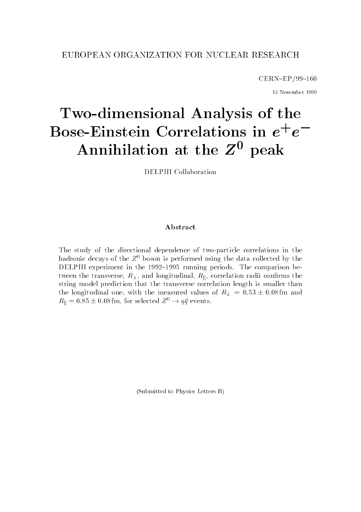#### EUROPEAN ORGANIZATION FOR NUCLEAR RESEARCH

 $CERN$ -EP/99-160

12 November <sup>1999</sup>

# Two-dimensional Analysis of the Bose-Einstein Correlations in  $e^+e^-$ Annihilation at the  $Z^0$  peak

DELPHI Collaboration

#### Abstract

The study of the directional dependence of two-particle correlations in the hadronic decays of the  $Z^0$  boson is performed using the data collected by the DELPHI experiment in the 1992-1995 running periods. The comparison between the transverse,  $R_{\perp}$ , and longitudinal,  $R_{\parallel}$ , correlation radii confirms the string model prediction that the transverse correlation length is smaller than the longitudinal one, with the measured values of  $R_{\perp} = 0.53 \pm 0.08$  fm and  $R_{\parallel} = 0.85 \pm 0.08$  fm, for selected  $Z^0 \rightarrow q\bar{q}$  events.

(Submitted to Physics Letters B)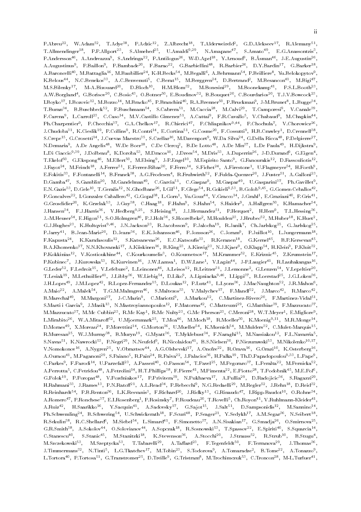F.Abreu=", W.Adam"", T.Adye"", F.Adzic"", Z.Albrecht"", T.Alderweireld", G.D.Alekseev"', R.Alemany'", T.Allmendinger<sup>19</sup>, P.P.Allport<sup>29</sup>, S.Almehed<sup>29</sup>, U.Amaldi<sup>9</sup>;<sup>29</sup>, N.Amapane<sup>41</sup>, S.Amato<sup>49</sup>, E.G.Anassontzis<sup>9</sup>, r.Andersson\*\*, A.Andreazza\*, S.Andringa\*\*, F.Anthogus\*\*, W-D.Apel\*\*, T.Arnoud\*, D.Asman\*\*, J-E.Augustin\*\*, A.Augustinus", F.Baillon", F.Bambade"", F.Barao"", G.Barbiellini"", R.Barbier"", D.T.Bardin", G.Barker'", A.Baroncelli\*\*, M.Battaglia\*\*, M.Baubillier\*\*, K-H.Becks\*\*, M.Begalli\*, A.Behrmann\*\*, F.Behliere\*, Tu.Belokopytov\*, R.Belous T, N.O.Benekos T, A.O.Benvenutif, O.Berat T, M.Berggren T, D.BertrandT, M.Besancon T, M.Bigi T, 1 M.S.Bilenky M-A.Bizouard , D.Bioch , H.M.Blom , M.Bonesini , M.Boonekamp , F.S.L.Booth , A.W.Borgland , G.Borisov , C.Bosio , O.Botner , E.Boudinov , B.Bouquet , C.Bourdarios , T.J.V.Bowcock , L.Boyko 1, L.Bozovic 1, M.Bozzo 1, M.Bracko 1, P.Branchini 1, R.A.Brenner 1, P.Bruckman1, J-M.Brunet 1, L.Bugge , T.Buran B.Buschbeck F.Buschmann B.Cabrera M.Caccia M.Calvi<sup>2</sup>, T.Camporesi V.Canale<sup>39</sup>, , F.Carena", L.Carroll", C.Caso", M.V.Castillo Gimenez", A.Cattai", F.R.Cavallo", V.Chabaud , M.Chapkin ", rn.Unarpentier", r.Unecchia", G.A.Unelkov4, R.Unierici44, r.Uniiapnikov9(\*+\*, r.Unochula4, v.Unorowicz\*°, J.Chudoba\*\*, K.Cleslik\*\*, F.Collins\*, K.Contri\*\*, E.Cortina\*\*, G.Cosme\*\*, F.Cossutti\*, H.B.Crawley\*, D.Crennell\*\*, S.Urepe^^, G.Urosetti^^, J.Uuevas Maestro^^, S.Uzellar^^, M.Davenport^, W.Da Silva^^, G.Della Ricca^^, P.Delpierre^^, N.Demaria", A.De Angelist", W.De Boert", C.De Clercq", B.De Lottoff, A.De Min\*f, L.De Paula\*f, H.Dijkstraf, L.Di Ciaccio°'°°, J.Dolbeau°, K.Doroba°°, M.Dracos1°, J.Drees11, M.Dris11, A.Duperrin11, J-D.Durand1, G.Eigen1, T.E.Kelof ", G.Ekspong", M.Ellert", M.Elsing", J-P.Engel", M.Espirito Santo", G.Fanourakis", D.Fassouliotis'", J.Fayot", M.Feindt", A.Ferrer", E.Ferrer-Ribas", F.Ferro11, S.Fichet11, A.Firestone1, U.Flagmeyer11, H.Foeth1, , E.Fokitis", F.Fontanelli", B.Franek", A.G.Frodesen", K.Fruhwirth", F.Fulda-Quenzer", J.Fuster", A.Galloni", '' D.Gamba , S.Gambiin , M.Gandelman , C.Garcia , C.Gaspar , M.Gaspar , U.Gasparini , Ph.Gavillet , E.N.Gazis°°, D.Gele\*°, T.Geralis\*°, N.Ghodbane\*°, LGil°\*, F.Glege\*\*, R.Gokieli%\*, B.Golob%\*°, G.Gomez-Ceballos\*\*, P.Goncalves", L.Gonzalez Caballero", G.Gopal", L.Gorn", Tu.Gouz'', V.Gracco'', J.Grami', E.Graziani'', P.Gris'', G.Grosdidier", K.Grzelak\*, J.Guy\*, C.Haag\*, F.Hahn", S.Hahn\*", S.Haider", A.Hallgren\*", K.Hamacher\*", J.Hansen\*\*, F.J.Harris\*\*, V.Hedberg\*F\*, S.Heising\*\*, J.J.Hernandez\*\*, P.Herquet\*, H.Herr\*, I.L.Hessing\*\*, J.-M.Heuser ", E.Higon"", S-O.Holmgren ", P.J.Holt" , S.Hoorelbeke", M.Houlden ", J.Hrubec"", M.Huber"", K.Huet", G.J.Hughes"", K.Hultqvist"1", J.N.Jackson"", K.Jacobsson", P.Jalocha1", K.Janik', Uh.Jarlskog"", G.Jarlskog"", P.Jarry 1, D.Jean-Marie 1, D.Jeans 1, E.K.Johansson 1, P.Jonsson 1, C.Joram 1, P.Juillot 1, L.Jungermann 1, F.Kapusta ", K.Karafasoulis", D.Katsanevas", E.O.Katsoulis", K.Keranen , G.Kernel , D.F.Kersevan , D.A.Khomenko\*", N.N.Khovanski\*", A.Kliskinen\*", D.Kling2°, A.Klinvig2°, N.J.Kjaer°, O.Klapp°\*, H.Klein°, P.Kluit°2, P.Kokkinias\*\*, v.Kostioukhine\*\*, U.Kourkoumelis\*, U.Kouznetsov\*\*, M.Krammer\*\*, E.Kriznic\*\*, Z.Krumstein\*\*, P.Kubinec', J.Kurowska°', K.Kurvinen1°, J.W.Lamsa1, D.W.Lane1, V.Lapin41, J-P.Laugier41, K.Launakangas1°, G.Leder°", F.Ledroit\*°, V.Lefebure", L.Leinonen\*°, A.Leisos\*", K.Leitner°\*, J.Lemonne", G.Lenzen°\*, V.Lepeltier"°, T.Lesiak<sup>19</sup>, M.Lethuillier<sup>14</sup>, J.Libby<sup>39</sup>, W.Liebig<sup>34</sup>, D.Liko°, A.Lipniacka%<sup>48</sup>, I.Lippi<sup>30</sup>, B.Loerstad<sup>26</sup>, J.G.Loken<sup>36</sup>, J.H.Lopes11, J.M.Lopez11, R.Lopez-Fernandez11, D.Loukas11, P.Lutz11, L.Lyons11, J.MacNaughton11, J.R.Mahon1, A.Maio22, A.Malek22, T.G.M.Malmgren22, S.Maltezos22, V.Malychev22, P.Mandl22, J.Marco22, R.Marco22, B.Marechal , M.Margoni , J-C.Marin , C.Mariotti , A.Markou , C.Martinez-Rivero , F.Martinez-Vidal , S.Marti i Garcia", J.Masik'", N.Mastroyiannopoulos", F.Matorras", C.Matteuzzi ", G.Matthiae", F.Mazzucato ", M.Mazzucato<sup>22</sup>, M.Mc Cubbin<sup>23</sup>, R.Mc Kay", R.Mc Nulty<sup>23</sup>, G.Mc Friefson<sup>23</sup>, C.Meroni23, W.T.Meyer1, E.Migliore1, L.Mirabito", W.A.Mitaroff", U.Mjoernmark", I.Moa^\*, M.Moch^\*, R.Moeller\*\*, K.Moenig\*†\*\*, M.R.Monge\*\*, D.Moraes ", A.Moreau", P.Morettini", G.Morton", U.Mueller", K.Muenich", M.Mulders", C.Mulet-Marquis'', R.Muresan", W.J.Murray'', D.Muryn'', G.Myatt'', T.MyKlebust'', F.Naraghi'', M.Nassiakou'', F.L.Navarria', S.Navas\*\*, K.Nawrocki\*\*, P.Negri\*\*, N.Neufeld\*, K.Nicolaidou\*\*, B.S.Nielsen\*\*, P.Niezurawski\*\*, M.Nikolenko\*\*/\*\*, V.Nomokonov\*\*, A.Nygren\*\*, V.Obraztsov\*\*, A.G.Olshevski\*\*, A.Onofre\*\*, R.Orava\*\*, G.Orazi\*\*, K.Osterberg\*\*, ' A.Ouraou\*\*, M.Paganoni\*\*, S.Paiano\*, K.Pain\*\*, K.Paiva\*\*, J.Palacios\*\*, H.Palka\*\*, Th.D.Papadopoulou\*i\*\*, L.Pape\*, U.Parkes", P.Parodi", U.Parzefall", A.Passeri'', O.Passon"', T.Pavel"', M.Pegoraro"', L.Peralta"', M.Pernicka"', A.Ferrotta\*, O.Petridou\*\*, A.Petrolini\*\*, H.T.Phillips\*\*, P.Pierre\*\*, M.Pimenta\*\*, E.Piotto\*\*, T.Podobnik\*\*, M.E.Pol\*, G.POlok", P.Poropat", V.Pozdniakov", P.Privitera", IV.Pukhaeva", A.Pullia", D.Radojicic", S.Ragazzi-", " H.Rahmanitt, J.Ramestt, P.N.Ratolitt, A.L.Readtt, P.Rebecchif, N.G.Redaellitt, M.Reglertt, J.Rehntt, D.Reidtt, R.Reinhardt", F.B.Renton\*", L.K.Resvanis", F.Richard\*\*, J.Ridky\*\*, G.Rinaudo\*\*, I.Ripp-Baudot\*\*, O.Rohne\*\*, -A.Romero 7, P.Ronchese 7, E.I.Rosenberg 7, P.Rosinsky 7, P.Roudeau 7, T.Rovelli 7, Un.Royon 7, V.Ruhlmann-Kleider 7, A.Kuiz T, H.Saarikko (K.Sacquin T, A.Sadovsky (G.Sajot J.Sait (D.Sampsonidis M.Sannino T, Ph.Schwemling11, B.Schwering11, U.Schwickerath11, P.Scuri11, P.Seager11, Y.Sedykh11, A.M.Segar11, N.Seibert11, R.Sekulina R.C.Shellarda, M.Siebelarda, L.Simarda, F.Simonettoa, A.N.Sisakiana, G.Smadjaa, O.Smirnovaa, G.R.Smith1", A.Sokolov4", O.Solovianov4, A.Sopczak14, R.Sosnowski44, I.Spassov4, E.Spiriti41, S.Squarcia14, U.Stanescu\*\*, S.Stanic\*\*, M.Stanitzki\*\*, K.Stevenson\*\*, A.Stocchi\*\*, J.Strauss\*\*, K.Strub\*\*, B.Stugu\*, M.Szczekowski\*, M.Szeptycka\*, T.Tabarelli\*, A.Tahard\*\*, r.Tegenfeldt\*\*, r.Terranova\*\*, J.Thomas\*\*, . J.IImmermans N.Tinti L.G.Tkatchev M.Tobin S.Todorova A.Tomaradze D.Tome A.Tonazzo , L.Tortora11, P.Tortosa11, G.Transtromer11, D.Treille1, G.Tristram1, M.Trochimczuk11, C.Troncon11, M-L.Turluer11,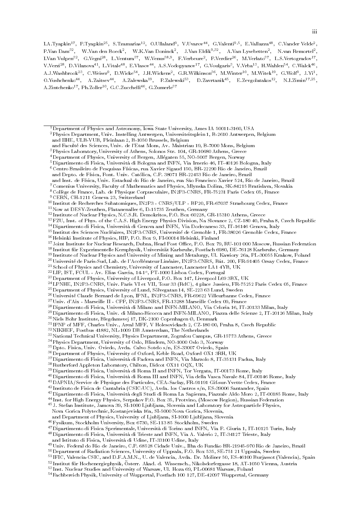I.A.Tyapkin\*", P.Tyapkin\*", S.Tzamarias\*\*, O.Ullaland°, v.Uvarov\*\*, G.valenti°'°, E.vallazza\*°, C.vander velde\*, P.Van Dam $^{\circ}$ 2, = W.Van den Boeck $^{\circ}$ , = W.K.Van Doninck $^{\circ}$ , = J.Van Eldik $^{\circ}$ ,  $^{\circ}$  = , = A.Van Lysebetten $^{\circ}$ , = N.van Kemortel $^{\circ}$ , = L.Van Vulpen°°, G.Vegni°°, L.Ventura°', W.Venus°%, F.Verbeure°, P.Verdier°°, M.Verlato°', L.S.Vertogradov1', I V.Verzi--, D.Vilanova--, L.Vitale--, E.Vlasov--, A.S.Vodopyanov--, G.Voulgaris-, V.Vrba--, H.Wahlen--, C.Walck--, A.J.Washbrook"", C.Weiser", D.Wicke"", J.H.Wickens", G.N.Wilkinson"", M.Winter"", M.Witek"", G.Wolf", J.H.", ' O.Yushchenko\*\*, A.Zaitsev\*\*, A.Zalewska\*\*, P.Zalewski‰, D.Zavrtanik\*\*, E.Zevgolatakos\*\*, N.I.Zimin\*'\*\*\*, -A.Zintchenko<sup>17</sup>, Ph.Zoller<sup>10</sup>, G.C.Zucchelli<sup>46</sup>, G.Zumerle<sup>37</sup>

3Physics Laboratory, University of Athens, Solonos Str. 104, GR-10680 Athens, Greece

 $^5$ Dipartimento di Fisica, Università di Bologna and INFN, Via Irnerio 46, IT-40126 Bologna, Italy

7Comenius University, Faculty of Mathematics and Physics, Mlynska Dolina, SK-84215 Bratislava, Slovakia

- <sup>12</sup> Institute of Nuclear Physics, N.C.S.R. Demokritos, P.O. Box 60228, GR-15310 Athens, Greece
- 13FZU, Inst. of Phys. of the C.A.S. High Energy Physics Division, Na Slovance 2, CZ-180 40, Praha 8, Czech Republic

14Dipartimento di Fisica, Universita di Genova and INFN, Via Dodecaneso 33, IT-16146 Genova, Italy

- <sup>15</sup> Institut des Sciences Nucleaires, IN2P3-CNRS, Universite de Grenoble 1, FR-38026 Grenoble Cedex, France
- $^{16}\rm{H}$ lelsinki Institute of Physics, HIP, P.O. Box 9, FI-00014 Helsinki, Finland
- <sup>17</sup> Joint Institute for Nuclear Research, Dubna, Head Post Office, P.O. Box 79, RU-101 000 Moscow, Russian Federation
- <sup>18</sup> Institut fur Experimentelle Kernphysik, Universitat Karlsruhe, Postfach 6980, DE-76128 Karlsruhe, Germany
- <sup>19</sup> Institute of Nuclear Physics and University of Mining and Metalurgy, Ul. Kawiory 26a, PL-30055 Krakow, Poland
- <sup>20</sup>Université de Paris-Sud, Lab. de l'Accélérateur Linéaire, IN2P3-CNRS, Bât. 200, FR-91405 Orsay Cedex, France
- $^{21}\rm{School}$  of Physics and Chemistry, University of Lancaster, Lancaster LA1 4YB, UK
- ≝PLIP, IST, FUUL Av. Elias Garcia, 14-1°, PT-1000 Lisboa Codex, Portugal
- 23Department of Physics, University of Liverpool, P.O. Box 147, Liverpool L69 3BX, UK
- 24LPNHE, IN2P3-CNRS, Univ. Paris VI et VII, Tour 33 (RdC), 4 place Jussieu, FR-75252 Paris Cedex 05, France <sup>25</sup> Department of Physics, University of Lund, Sölvegatan 14, SE-223 63 Lund, Sweden
- 26Universite Claude Bernard de Lyon, IPNL, IN2P3-CNRS, FR-69622 Villeurbanne Cedex, France
- 27Univ. d'Aix Marseille II CPP, IN2P3-CNRS, FR-13288 Marseille Cedex 09, France

28Dipartimento di Fisica, Universita di Milano and INFN-MILANO, Via Celoria 16, IT-20133 Milan, Italy

- 29Dipartimento di Fisica, Univ. di Milano-Bicocca and INFN-MILANO, Piazza delle Scienze 2, IT-20126 Milan, Italy
- $^{30}\rm{Ni}$ ls Bohr Institute, Blegdamsvej 17, DK-2100 Copenhagen Ø, Denmark
- $\lceil \cdot \rceil$ IPNP of MFF, Unaries Univ., Areal MFF, V Holesovickach 2, UZ-180 00, Praha 8, Uzech Republic
- 32NIKHEF, Postbus 41882, NL-1009 DB Amsterdam, The Netherlands
- <sup>33</sup> National Technical University, Physics Department, Zografou Campus, GR-15773 Athens, Greece
- 34Physics Department, University of Oslo, Blindern, NO-1000 Oslo 3, Norway
- 35Dpto. Fisica, Univ. Oviedo, Avda. Calvo Sotelo s/n, ES-33007 Oviedo, Spain
- 36Department of Physics, University of Oxford, Keble Road, Oxford OX1 3RH, UK
- 37Dipartimento di Fisica, Universita di Padova and INFN, Via Marzolo 8, IT-35131 Padua, Italy
- 38Rutherford Appleton Laboratory, Chilton, Didcot OX11 OQX, UK
- 39Dipartimento di Fisica, Universita di Roma II and INFN, Tor Vergata, IT-00173 Rome, Italy
- 40Dipartimento di Fisica, Universita di Roma III and INFN, Via della Vasca Navale 84, IT-00146 Rome, Italy
- 41DAPNIA/Service de Physique des Particules, CEA-Saclay, FR-91191 Gif-sur-Yvette Cedex, France
- <sup>42</sup> Instituto de Fisica de Cantabria (CSIC-UC), Avda. los Castros s/n, ES-39006 Santander, Spain
- 43Dipartimento di Fisica, Universita degli Studi di Roma La Sapienza, Piazzale Aldo Moro 2, IT-00185 Rome, Italy
- <sup>44</sup> Inst. for High Energy Physics, Serpukov P.O. Box 35, Protvino, (Moscow Region), Russian Federation
- 45J. Stefan Institute, Jamova 39, SI-1000 Ljubljana, Slovenia and Laboratory for Astroparticle Physics,
- Nova Gorica Polytechnic, Kostanjeviska 16a, SI-5000 Nova Gorica, Slovenia,
- and Department of Physics, University of Ljubljana, SI-1000 Ljubljana, Slovenia
- $^{46}\rm{F}$ ysikum, Stockholm University, Box 6730, SE-113 85 Stockholm, Sweden
- 47Dipartimento di Fisica Sperimentale, Universita di Torino and INFN, Via P. Giuria 1, IT-10125 Turin, Italy
- 48Dipartimento di Fisica, Universita di Trieste and INFN, Via A. Valerio 2, IT-34127 Trieste, Italy

and Istituto di Fisica, Universita di Udine, IT-33100 Udine, Italy

- <sup>49</sup>Univ. Federal do Rio de Janeiro, C.P. 68528 Cidade Univ., Ilha do Fundão BR-21945-970 Rio de Janeiro, Brazil
- 50Department of Radiation Sciences, University of Uppsala, P.O. Box 535, SE-751 21 Uppsala, Sweden
- <sup>51</sup> IFIC, Valencia-CSIC, and D.F.A.M.N., U. de Valencia, Avda. Dr. Moliner 50, ES-46100 Burjassot (Valencia), Spain
- <sup>52</sup> Institut fur Hochenergiephysik, Osterr. Akad. d. Wissensch., Nikolsdorfergasse 18, AT-1050 Vienna, Austria
- <sup>53</sup> Inst. Nuclear Studies and University of Warsaw, Ul. Hoza 69, PL-00681 Warsaw, Poland
- 54Fachbereich Physik, University of Wuppertal, Postfach 100 127, DE-42097 Wuppertal, Germany

 $^1$ Department of Physics and Astronomy, Iowa State University, Ames IA 50011-3160, USA

<sup>2</sup>Physics Department, Univ. Instelling Antwerpen, Universiteitsplein 1, B-2610 Antwerpen, Belgium and IIHE, ULB-VUB, Pleinlaan 2, B-1050 Brussels, Belgium

and Faculté des Sciences, Univ. de l'Etat Mons, Av. Maistriau 19, B-7000 Mons, Belgium

<sup>&</sup>lt;sup>4</sup>Department of Physics, University of Bergen, Allégaten 55, NO-5007 Bergen, Norway

<sup>&</sup>lt;sup>6</sup> Centro Brasileiro de Pesquisas Físicas, rua Xavier Sigaud 150, BR-22290 Rio de Janeiro, Brazil

and Depto. de Física, Pont. Univ. Católica, C.P. 38071 BR-22453 Rio de Janeiro, Brazil and Inst. de Física, Univ. Estadual do Rio de Janeiro, rua São Francisco Xavier 524, Rio de Janeiro, Brazil

<sup>8</sup>College de France, Lab. de Physique Corpusculaire, IN2P3-CNRS, FR-75231 Paris Cedex 05, France

<sup>9</sup>CERN, CH-1211 Geneva 23, Switzerland

<sup>10</sup> Institut de Recherches Subatomiques, IN2P3 - CNRS/ULP - BP20, FR-67037 Strasbourg Cedex, France

<sup>11</sup>Now at DESY-Zeuthen, Platanenallee 6, D-15735 Zeuthen, Germany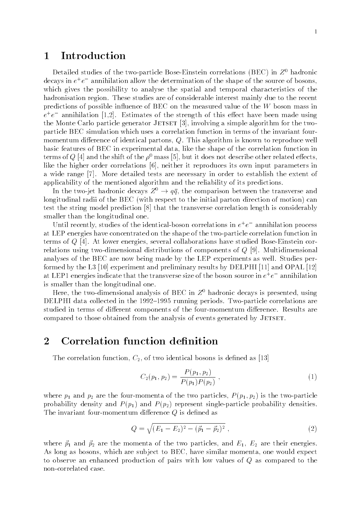# <sup>1</sup> Introduction

Detailed studies of the two-particle Bose-Einstein correlations (BEC) in  $Z^0$  hadronic decays in  $e^+e^-$  annihilation allow the determination of the snape of the source of bosons,  $\blacksquare$ which gives the possibility to analyse the spatial and temporal characteristics of the hadronisation region. These studies are of considerable interest mainly due to the recent predictions of possible influence of BEC on the measured value of the  $W$  boson mass in  $e^+e^-$  annihilation  $[1,2]$ . Estimates of the strength of this effect have been made using the Monte Carlo particle generator JETSET [3], involving a simple algorithm for the twoparticle BEC simulation which uses a correlation function in terms of the invariant fourmomentum difference of identical partons,  $Q$ . This algorithm is known to reproduce well basic features of BEC in experimental data, like the shape of the correlation function in terms of Q [4] and the shift of the  $\rho^0$  mass [5], but it does not describe other related effects, like the higher order correlations [6], neither it reproduces its own input parameters in a wide range [7]. More detailed tests are necessary in order to establish the extent of applicability of the mentioned algorithm and the reliability of its predictions.

In the two-jet hadronic decays  $Z^0 \rightarrow q\bar{q}$ , the comparison between the transverse and longitudinal radii of the BEC (with respect to the initial parton direction of motion) can test the string model prediction [8] that the transverse correlation length is considerably smaller than the longitudinal one.

Until recently, studies of the identical-boson correlations in  $e^+e^-$  annihilation process at LEP energies have concentrated on the shape of the two-particle correlation function in terms of <sup>Q</sup> [4]. At lower energies, several collaborations have studied Bose-Einstein correlations using two-dimensional distributions of components of <sup>Q</sup> [9]. Multidimensional analyses of the BEC are now being made by the LEP experiments as well. Studies performed by the L3 [10] experiment and preliminary results by DELPHI [11] and OPAL [12] at LEP1 energies indicate that the transverse size of the boson source in  $e^+e^-$  annihilation  $\,$ is smaller than the longitudinal one.

Here, the two-dimensional analysis of BEC in  $Z<sup>0</sup>$  hadronic decays is presented, using DELPHI data collected in the  $1992-1995$  running periods. Two-particle correlations are studied in terms of different components of the four-momentum difference. Results are compared to those obtained from the analysis of events generated by JETSET.

# 2 Correlation function definition

The correlation function,  $C_2$ , of two identical bosons is defined as [13]

$$
C_2(p_1, p_2) = \frac{P(p_1, p_2)}{P(p_1)P(p_2)},
$$
\n(1)

where  $p_1$  and  $p_2$  are the four-momenta of the two particles,  $P(p_1, p_2)$  is the two-particle probability density and  $P(p_1)$  and  $P(p_2)$  represent single-particle probability densities. The invariant four-momentum difference  $Q$  is defined as

$$
Q = \sqrt{(E_1 - E_2)^2 - (\vec{p}_1 - \vec{p}_2)^2} \tag{2}
$$

where  $\vec{p}_1$  and  $\vec{p}_2$  are the momenta of the two particles, and  $E_1$ ,  $E_2$  are their energies. As long as bosons, which are subject to BEC, have similar momenta, one would expect to observe an enhanced production of pairs with low values of <sup>Q</sup> as compared to the non-correlated case.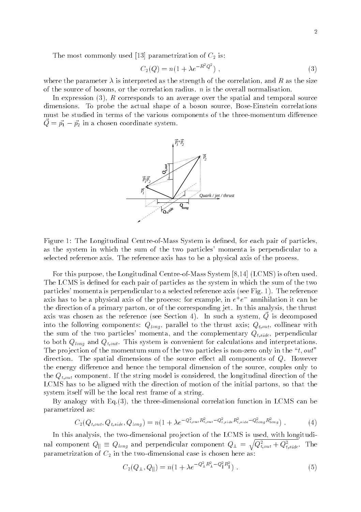The most commonly used [13] parametrization of  $C_2$  is:

$$
C_2(Q) = n(1 + \lambda e^{-R^2 Q^2}), \qquad (3)
$$

where the parameter  $\lambda$  is interpreted as the strength of the correlation, and R as the size of the source of bosons, or the correlation radius.  $n$  is the overall normalisation.

In expression  $(3)$ , R corresponds to an average over the spatial and temporal source dimensions. To probe the actual shape of a boson source, Bose-Einstein correlations must be studied in terms of the various components of the three-momentum difference  $Q = \vec{p_1} - \vec{p_2}$  in a chosen coordinate system.



Figure 1: The Longitudinal Centre-of-Mass System is defined, for each pair of particles, as the system in which the sum of the two particles' momenta is perpendicular to a selected reference axis. The reference axis has to be a physical axis of the process.

For this purpose, the Longitudinal Centre-of-Mass System [8,14] (LCMS) is often used. The LCMS is defined for each pair of particles as the system in which the sum of the two particles' momenta is perpendicular to a selected reference axis (see Fig. 1). The reference axis has to be a physical axis of the process: for example, in  $e^+e^-$  annihilation it can be  $$ the direction of a primary parton, or of the corresponding jet. In this analysis, the thrust axis was chosen as the reference (see Section 4). In such a system,  $Q$  is decomposed into the following components:  $Q_{long}$ , parallel to the thrust axis;  $Q_{t,out}$ , collinear with the sum of the two particles' momenta, and the complementary  $Q_{t,side}$ , perpendicular to both  $Q_{long}$  and  $Q_{t,out}$ . This system is convenient for calculations and interpretations. The projection of the momentum sum of the two particles is non-zero only in the " $t$ , out" direction. The spatial dimensions of the source effect all components of  $Q$ . However the energy difference and hence the temporal dimension of the source, couples only to the  $Q_{t,out}$  component. If the string model is considered, the longitudinal direction of the LCMS has to be aligned with the direction of motion of the initial partons, so that the system itself will be the local rest frame of a string.

By analogy with Eq.(3), the three-dimensional correlation function in LCMS can be parametrized as:

$$
C_2(Q_{t,out}, Q_{t,side}, Q_{long}) = n(1 + \lambda e^{-Q_{t,out}^2 R_{t,out}^2 - Q_{t,side}^2 R_{t,side}^2 - Q_{long}^2 R_{long}^2}).
$$
\n(4)

In this analysis, the two-dimensional projection of the LCMS is used, with longitudinal component  $Q_{\parallel}\equiv Q_{long}$  and perpendicular component  $Q_{\perp}=\sqrt{Q_{t,out}^2+Q_{t,side}^2}.$  The parametrization of  $C_2$  in the two-dimensional case is chosen here as:

$$
C_2(Q_{\perp}, Q_{\parallel}) = n(1 + \lambda e^{-Q_{\perp}^2 R_{\perp}^2 - Q_{\parallel}^2 R_{\parallel}^2}). \tag{5}
$$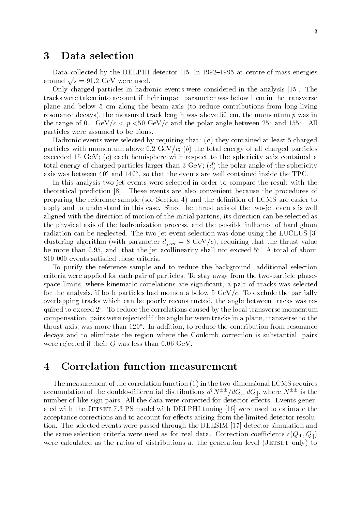# <sup>3</sup> Data selection

Data collected by the DELPHI detector  $[15]$  in 1992–1995 at centre-of-mass energies around  $\sqrt{s} = 91.2$  GeV were used.

Only charged particles in hadronic events were considered in the analysis [15]. The tracks were taken into account if their impact parameter was below 1 cm in the transverse plane and below 5 cm along the beam axis (to reduce contributions from long-living resonance decays), the measured track length was above  $50 \text{ cm}$ , the momentum p was in the range of 0.1 GeV/ $c \leq p \leq 30$  GeV/c and the polar angle between 25 and 155. All particles were assumed to be pions.

Hadronic events were selected by requiring that:  $(a)$  they contained at least 5 charged particles with momentum above 0.2 GeV/c; (b) the total energy of all charged particles exceeded 15 GeV;  $(c)$  each hemisphere with respect to the sphericity axis contained a total energy of charged particles larger than 3 GeV; (d) the polar angle of the sphericity axis was between 40 and 140 , so that the events are well contained inside the TPC.

In this analysis two-jet events were selected in order to compare the result with the theoretical prediction [8]. These events are also convenient because the procedures of preparing the reference sample (see Section 4) and the denition of LCMS are easier to apply and to understand in this case. Since the thrust axis of the two-jet events is well aligned with the direction of motion of the initial partons, its direction can be selected as the physical axis of the hadronization process, and the possible influence of hard gluon radiation can be neglected. The two-jet event selection was done using the LUCLUS [3] clustering algorithm (with parameter  $d_{join} = 8 \text{ GeV}/c$ ), requiring that the thrust value be more than 0.95, and, that the jet acollinearity shall not exceed 5 . A total of about 810 000 events satisfied these criteria.

To purify the reference sample and to reduce the background, additional selection criteria were applied for each pair of particles. To stay away from the two-particle phasespace limits, where kinematic correlations are signicant, a pair of tracks was selected for the analysis, if both particles had momenta below 5  $GeV/c$ . To exclude the partially overlapping tracks which can be poorly reconstructed, the angle between tracks was required to exceed 2 . To reduce the correlations caused by the local transverse momentum compensation, pairs were rejected if the angle between tracks in a plane, transverse to the thrust axis, was more than 120 . In addition, to reduce the contribution from resonance decays and to eliminate the region where the Coulomb correction is substantial, pairs were rejected if their <sup>Q</sup> was less than 0.06 GeV.

## <sup>4</sup> Correlation function measurement

The measurement of the correlation function (1) in the two-dimensional LCMS requires accumulation of the double-differential distributions  $d^2N^{\pm\pm}/dQ_{\perp} dQ_{\parallel}$ , where  $N^{\pm\pm}$  is the number of like-sign pairs. All the data were corrected for detector effects. Events generated with the JETSET 7.3 PS model with DELPHI tuning [16] were used to estimate the acceptance corrections and to account for effects arising from the limited detector resolution. The selected events were passed through the DELSIM [17] detector simulation and the same selection criteria were used as for real data. Correction coefficients  $c(Q_\perp, Q_\parallel)$ were calculated as the ratios of distributions at the generation level (JETSET only) to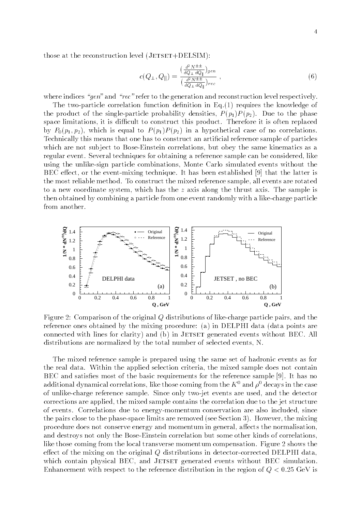those at the reconstruction level  $(JETSET+DELSIM)$ :

$$
c(Q_{\perp}, Q_{\parallel}) = \frac{\left(\frac{d^2 N^{\pm \pm}}{dQ_{\perp} dQ_{\parallel}}\right)_{gen}}{\left(\frac{d^2 N^{\pm \pm}}{dQ_{\perp} dQ_{\parallel}}\right)_{rec}} ,
$$
\n
$$
(6)
$$

where indices "gen" and "rec" refer to the generation and reconstruction level respectively.

The two-particle correlation function definition in  $Eq.(1)$  requires the knowledge of the product of the single-particle probability densities,  $P(p_1)P(p_2)$ . Due to the phase space limitations, it is difficult to construct this product. Therefore it is often replaced by  $P_0(p_1, p_2)$ , which is equal to  $P(p_1)P(p_2)$  in a hypothetical case of no correlations. Technically this means that one has to construct an artificial reference sample of particles which are not subject to Bose-Einstein correlations, but obey the same kinematics as a regular event. Several techniques for obtaining a reference sample can be considered, like using the unlike-sign particle combinations, Monte Carlo simulated events without the BEC effect, or the event-mixing technique. It has been established [9] that the latter is the most reliable method. To construct the mixed reference sample, all events are rotated to a new coordinate system, which has the <sup>z</sup> axis along the thrust axis. The sample is then obtained by combining a particle from one event randomly with a like-charge particle from another.



Figure 2: Comparison of the original <sup>Q</sup> distributions of like-charge particle pairs, and the reference ones obtained by the mixing procedure: (a) in DELPHI data (data points are connected with lines for clarity) and (b) in JETSET generated events without BEC. All distributions are normalized by the total number of selected events, N.

The mixed reference sample is prepared using the same set of hadronic events as for the real data. Within the applied selection criteria, the mixed sample does not contain  $BEC$  and satisfies most of the basic requirements for the reference sample [9]. It has no additional dynamical correlations, like those coming from the  $K^+$  and  $\rho^-$  decays in the case of unlike-charge reference sample. Since only two-jet events are used, and the detector corrections are applied, the mixed sample contains the correlation due to the jet structure of events. Correlations due to energy-momentum conservation are also included, since the pairs close to the phase-space limits are removed (see Section 3). However, the mixing procedure does not conserve energy and momentum in general, affects the normalisation, and destroys not only the Bose-Einstein correlation but some other kinds of correlations, like those coming from the local transverse momentum compensation. Figure 2 shows the effect of the mixing on the original  $Q$  distributions in detector-corrected DELPHI data, which contain physical BEC, and JETSET generated events without BEC simulation. Enhancement with respect to the reference distribution in the region of  $Q < 0.25$  GeV is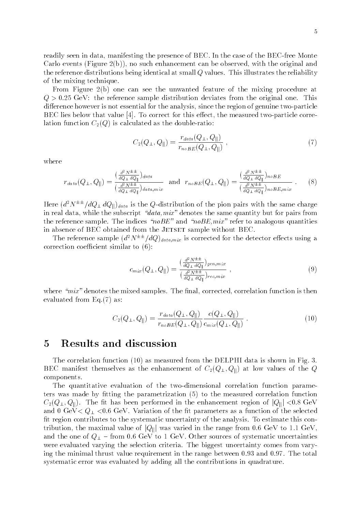readily seen in data, manifesting the presence of BEC. In the case of the BEC-free Monte Carlo events (Figure  $2(b)$ ), no such enhancement can be observed, with the original and the reference distributions being identical at small <sup>Q</sup> values. This illustrates the reliability of the mixing technique.

From Figure 2(b) one can see the unwanted feature of the mixing procedure at  $Q > 0.25$  GeV: the reference sample distribution deviates from the original one. This difference however is not essential for the analysis, since the region of genuine two-particle BEC lies below that value  $[4]$ . To correct for this effect, the measured two-particle correlation function  $C_2(Q)$  is calculated as the double-ratio:

$$
C_2(Q_\perp, Q_\parallel) = \frac{r_{data}(Q_\perp, Q_\parallel)}{r_{noBE}(Q_\perp, Q_\parallel)}, \qquad (7)
$$

where

$$
r_{data}(Q_{\perp}, Q_{\parallel}) = \frac{\left(\frac{d^2 N^{\pm \pm}}{d Q_{\perp} d Q_{\parallel}}\right)_{data}}{\left(\frac{d^2 N^{\pm \pm}}{d Q_{\perp} d Q_{\parallel}}\right)_{data,min}} \text{ and } r_{noBE}(Q_{\perp}, Q_{\parallel}) = \frac{\left(\frac{d^2 N^{\pm \pm}}{d Q_{\perp} d Q_{\parallel}}\right)_{noBE}}{\left(\frac{d^2 N^{\pm \pm}}{d Q_{\perp} d Q_{\parallel}}\right)_{noBE,min}} \ . \tag{8}
$$

Here  $\left(d^2 N^{\pm\pm}/dQ_{\perp} dQ_{\parallel}\right)_{data}$  is the Q-distribution of the pion pairs with the same charge in real data, while the subscript " $data,mix$ " denotes the same quantity but for pairs from the reference sample. The indices " $noBE"$  and " $noBE, mix"$  refer to analogous quantities in absence of BEC obtained from the JETSET sample without BEC.

The reference sample  $(d^2N^{\pm\pm}/dQ)_{data,mix}$  is corrected for the detector effects using a correction coefficient similar to  $(6)$ :

$$
c_{mix}(Q_{\perp}, Q_{\parallel}) = \frac{\left(\frac{d^2 N^{\pm \pm}}{dQ_{\perp} dQ_{\parallel}}\right)_{gen, mix}}{\left(\frac{d^2 N^{\pm \pm}}{dQ_{\perp} dQ_{\parallel}}\right)_{rec, mix}},
$$
\n(9)

where " $mix$ " denotes the mixed samples. The final, corrected, correlation function is then evaluated from Eq.(7) as:

$$
C_2(Q_{\perp}, Q_{\parallel}) = \frac{r_{data}(Q_{\perp}, Q_{\parallel})}{r_{noBE}(Q_{\perp}, Q_{\parallel})} \frac{c(Q_{\perp}, Q_{\parallel})}{c_{mix}(Q_{\perp}, Q_{\parallel})} \,. \tag{10}
$$

#### <sup>5</sup> Results and discussion

The correlation function (10) as measured from the DELPHI data is shown in Fig. 3. BEC manifest themselves as the enhancement of  $C_2(Q_\perp, Q_\parallel)$  at low values of the Q components.

The quantitative evaluation of the two-dimensional correlation function parameters was made by fitting the parametrization  $(5)$  to the measured correlation function  $C_2(Q_\perp, Q_\parallel)$ . The fit has been performed in the enhancement region of  $|Q_\parallel| < 0.8$  GeV and 0 GeV $Q_1$   $\langle 0.6$  GeV. Variation of the fit parameters as a function of the selected fit region contributes to the systematic uncertainty of the analysis. To estimate this contribution, the maximal value of  $|Q_{\parallel}|$  was varied in the range from 0.6 GeV to 1.1 GeV, and the one of  $Q_{\perp}$  – from 0.6 GeV to 1 GeV. Other sources of systematic uncertainties were evaluated varying the selection criteria. The biggest uncertainty comes from varying the minimal thrust value requirement in the range between 0.93 and 0.97. The total systematic error was evaluated by adding all the contributions in quadrature.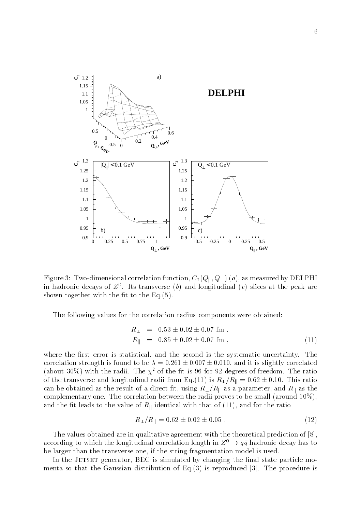

Figure 3: Two-dimensional correlation function,  $C_2(Q_{\parallel}, Q_{\perp})$  (*a*), as measured by DELPHI in hadronic decays of  $Z$  . Its transverse (b) and longitudinal (c) slices at the peak are shown together with the fit to the  $Eq.(5)$ .

The following values for the correlation radius components were obtained:

$$
R_{\perp} = 0.53 \pm 0.02 \pm 0.07 \text{ fm},
$$
  
\n
$$
R_{\parallel} = 0.85 \pm 0.02 \pm 0.07 \text{ fm},
$$
\n(11)

where the first error is statistical, and the second is the systematic uncertainty. The correlation strength is found to be  $\lambda = 0.261 \pm 0.007 \pm 0.010$ , and it is slightly correlated (about 30%) with the radii. The  $\chi^2$  of the fit is 96 for 92 degrees of freedom. The ratio of the transverse and longitudinal radii from Eq.(11) is  $R_{\perp}/R_{\parallel} = 0.62 \pm 0.10$ . This ratio can be obtained as the result of a direct fit, using  $R_{\perp}/R_{\parallel}$  as a parameter, and  $R_{\parallel}$  as the complementary one. The correlation between the radii proves to be small (around  $10\%$ ), and the fit leads to the value of  $R_{\parallel}$  identical with that of (11), and for the ratio

$$
R_{\perp}/R_{\parallel} = 0.62 \pm 0.02 \pm 0.05 \tag{12}
$$

The values obtained are in qualitative agreement with the theoretical prediction of [8], according to which the longitudinal correlation length in  $Z^0 \rightarrow q\bar{q}$  hadronic decay has to be larger than the transverse one, if the string fragmentation model is used.

In the JETSET generator, BEC is simulated by changing the final state particle momenta so that the Gaussian distribution of Eq.(3) is reproduced [3]. The procedure is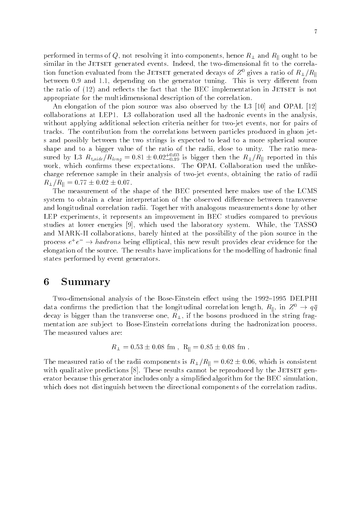performed in terms of Q, not resolving it into components, hence  $R_{\perp}$  and  $R_{\parallel}$  ought to be similar in the JETSET generated events. Indeed, the two-dimensional fit to the correlation function evaluated from the JETSET generated decays of  $Z^0$  gives a ratio of  $R_{\perp}/R_{\parallel}$ between 0.9 and 1.1, depending on the generator tuning. This is very different from the ratio of  $(12)$  and reflects the fact that the BEC implementation in JETSET is not appropriate for the multidimensional description of the correlation.

An elongation of the pion source was also observed by the L3 [10] and OPAL [12] collaborations at LEP1. L3 collaboration used all the hadronic events in the analysis, without applying additional selection criteria neither for two-jet events, nor for pairs of tracks. The contribution from the correlations between particles produced in gluon jets and possibly between the two strings is expected to lead to a more spherical source shape and to a bigger value of the ratio of the radii, close to unity. The ratio measured by L3  $R_{t,side}/R_{long} = 0.81 \pm 0.02^{+0.03}_{-0.19}$  is bigger then the  $R_{\perp}/R_{\parallel}$  reported in this work, which confirms these expectations. The OPAL Collaboration used the unlikecharge reference sample in their analysis of two-jet events, obtaining the ratio of radii  $R_{\perp}/R_{\parallel} = 0.77 \pm 0.02 \pm 0.07.$ 

The measurement of the shape of the BEC presented here makes use of the LCMS system to obtain a clear interpretation of the observed difference between transverse and longitudinal correlation radii. Together with analogous measurements done by other LEP experiments, it represents an improvement in BEC studies compared to previous studies at lower energies [9], which used the laboratory system. While, the TASSO and MARK-II collaborations, barely hinted at the possibility of the pion source in the process  $e^+e^- \to$  *naarons* being emptical, this new result provides clear evidence for the elongation of the source. The results have implications for the modelling of hadronic final states performed by event generators.

#### 6 **Summary**

Two-dimensional analysis of the Bose-Einstein effect using the 1992-1995 DELPHI data confirms the prediction that the longitudinal correlation length,  $R_{\parallel}$ , in  $Z^0 \rightarrow q\bar{q}$ decay is bigger than the transverse one,  $R_{\perp}$ , if the bosons produced in the string fragmentation are subject to Bose-Einstein correlations during the hadronization process. The measured values are:

$$
R_{\perp} = 0.53 \pm 0.08
$$
 fm,  $R_{\parallel} = 0.85 \pm 0.08$  fm.

The measured ratio of the radii components is  $R_{\perp}/R_{\parallel} = 0.62 \pm 0.06$ , which is consistent with qualitative predictions  $[8]$ . These results cannot be reproduced by the JETSET generator because this generator includes only a simplied algorithm for the BEC simulation, which does not distinguish between the directional components of the correlation radius.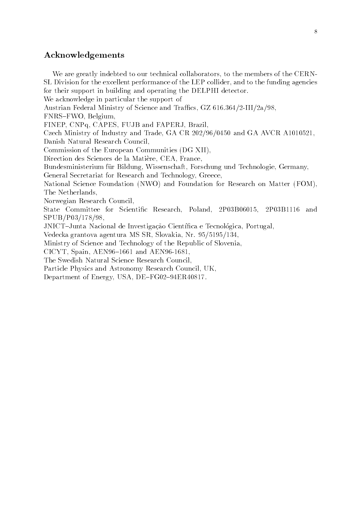#### Acknowledgements

We are greatly indebted to our technical collaborators, to the members of the CERN-SL Division for the excellent performance of the LEP collider, and to the funding agencies for their support in building and operating the DELPHI detector. We acknowledge in particular the support of Austrian Federal Ministry of Science and Traffics, GZ 616.364/2-III/2a/98, FNRS-FWO, Belgium, FINEP, CNPq, CAPES, FUJB and FAPERJ, Brazil, Czech Ministry of Industry and Trade, GA CR 202/96/0450 and GA AVCR A1010521, Danish Natural Research Council, Commission of the European Communities (DG XII), Direction des Sciences de la Matiere, CEA, France, Bundesministerium für Bildung, Wissenschaft, Forschung und Technologie, Germany, General Secretariat for Research and Technology, Greece, National Science Foundation (NWO) and Foundation for Research on Matter (FOM), The Netherlands, Norwegian Research Council, State Committee for Scientific Research, Poland, 2P03B06015, 2P03B1116 and SPUB/P03/178/98, JNICT-Junta Nacional de Investigação Científica e Tecnológica, Portugal, Vedecka grantova agentura MS SR, Slovakia, Nr. 95/5195/134, Ministry of Science and Technology of the Republic of Slovenia, CICYT, Spain, AEN96-1661 and AEN96-1681, The Swedish Natural Science Research Council, Particle Physics and Astronomy Research Council, UK, Department of Energy, USA, DE-FG02-94ER40817.